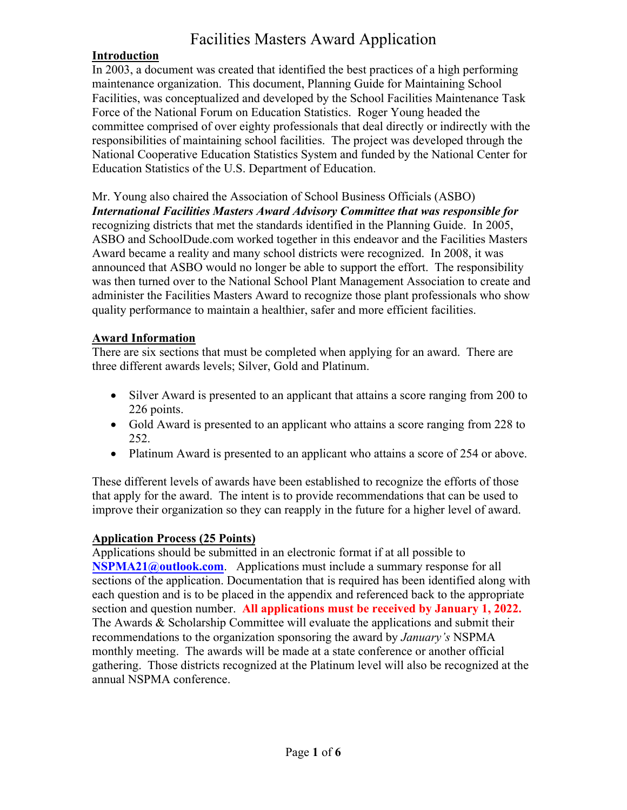# Facilities Masters Award Application

### **Introduction**

In 2003, a document was created that identified the best practices of a high performing maintenance organization. This document, Planning Guide for Maintaining School Facilities, was conceptualized and developed by the School Facilities Maintenance Task Force of the National Forum on Education Statistics. Roger Young headed the committee comprised of over eighty professionals that deal directly or indirectly with the responsibilities of maintaining school facilities. The project was developed through the National Cooperative Education Statistics System and funded by the National Center for Education Statistics of the U.S. Department of Education.

Mr. Young also chaired the Association of School Business Officials (ASBO) *International Facilities Masters Award Advisory Committee that was responsible for* recognizing districts that met the standards identified in the Planning Guide. In 2005, ASBO and SchoolDude.com worked together in this endeavor and the Facilities Masters Award became a reality and many school districts were recognized. In 2008, it was announced that ASBO would no longer be able to support the effort. The responsibility was then turned over to the National School Plant Management Association to create and administer the Facilities Masters Award to recognize those plant professionals who show quality performance to maintain a healthier, safer and more efficient facilities.

#### **Award Information**

There are six sections that must be completed when applying for an award. There are three different awards levels; Silver, Gold and Platinum.

- Silver Award is presented to an applicant that attains a score ranging from 200 to 226 points.
- Gold Award is presented to an applicant who attains a score ranging from 228 to 252.
- Platinum Award is presented to an applicant who attains a score of 254 or above.

These different levels of awards have been established to recognize the efforts of those that apply for the award. The intent is to provide recommendations that can be used to improve their organization so they can reapply in the future for a higher level of award.

### **Application Process (25 Points)**

Applications should be submitted in an electronic format if at all possible to **[NSPMA21@outlook.com](mailto:NSPMA21@outlook.com).** Applications must include a summary response for all sections of the application. Documentation that is required has been identified along with each question and is to be placed in the appendix and referenced back to the appropriate section and question number. **All applications must be received by January 1, 2022.** The Awards & Scholarship Committee will evaluate the applications and submit their recommendations to the organization sponsoring the award by *January's* NSPMA monthly meeting. The awards will be made at a state conference or another official gathering. Those districts recognized at the Platinum level will also be recognized at the annual NSPMA conference.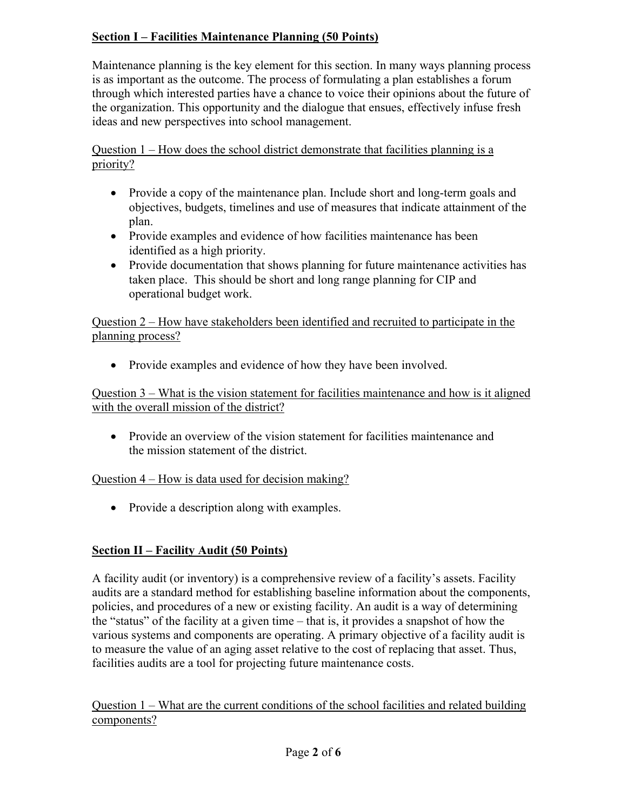## **Section I – Facilities Maintenance Planning (50 Points)**

Maintenance planning is the key element for this section. In many ways planning process is as important as the outcome. The process of formulating a plan establishes a forum through which interested parties have a chance to voice their opinions about the future of the organization. This opportunity and the dialogue that ensues, effectively infuse fresh ideas and new perspectives into school management.

Question 1 – How does the school district demonstrate that facilities planning is a priority?

- Provide a copy of the maintenance plan. Include short and long-term goals and objectives, budgets, timelines and use of measures that indicate attainment of the plan.
- Provide examples and evidence of how facilities maintenance has been identified as a high priority.
- Provide documentation that shows planning for future maintenance activities has taken place. This should be short and long range planning for CIP and operational budget work.

Question 2 – How have stakeholders been identified and recruited to participate in the planning process?

• Provide examples and evidence of how they have been involved.

Question 3 – What is the vision statement for facilities maintenance and how is it aligned with the overall mission of the district?

• Provide an overview of the vision statement for facilities maintenance and the mission statement of the district.

### Question 4 – How is data used for decision making?

• Provide a description along with examples.

## **Section II – Facility Audit (50 Points)**

A facility audit (or inventory) is a comprehensive review of a facility's assets. Facility audits are a standard method for establishing baseline information about the components, policies, and procedures of a new or existing facility. An audit is a way of determining the "status" of the facility at a given time – that is, it provides a snapshot of how the various systems and components are operating. A primary objective of a facility audit is to measure the value of an aging asset relative to the cost of replacing that asset. Thus, facilities audits are a tool for projecting future maintenance costs.

Question 1 – What are the current conditions of the school facilities and related building components?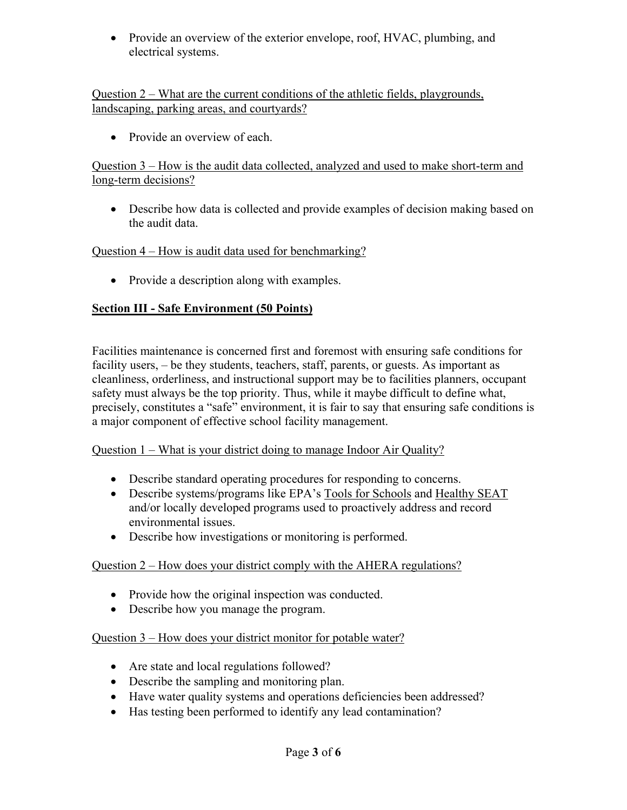• Provide an overview of the exterior envelope, roof, HVAC, plumbing, and electrical systems.

Question 2 – What are the current conditions of the athletic fields, playgrounds, landscaping, parking areas, and courtyards?

• Provide an overview of each.

Question 3 – How is the audit data collected, analyzed and used to make short-term and long-term decisions?

• Describe how data is collected and provide examples of decision making based on the audit data.

### Question 4 – How is audit data used for benchmarking?

• Provide a description along with examples.

### **Section III - Safe Environment (50 Points)**

Facilities maintenance is concerned first and foremost with ensuring safe conditions for facility users, – be they students, teachers, staff, parents, or guests. As important as cleanliness, orderliness, and instructional support may be to facilities planners, occupant safety must always be the top priority. Thus, while it maybe difficult to define what, precisely, constitutes a "safe" environment, it is fair to say that ensuring safe conditions is a major component of effective school facility management.

Question 1 – What is your district doing to manage Indoor Air Quality?

- Describe standard operating procedures for responding to concerns.
- Describe systems/programs like EPA's Tools for Schools and Healthy SEAT and/or locally developed programs used to proactively address and record environmental issues.
- Describe how investigations or monitoring is performed.

### Question 2 – How does your district comply with the AHERA regulations?

- Provide how the original inspection was conducted.
- Describe how you manage the program.

#### Question 3 – How does your district monitor for potable water?

- Are state and local regulations followed?
- Describe the sampling and monitoring plan.
- Have water quality systems and operations deficiencies been addressed?
- Has testing been performed to identify any lead contamination?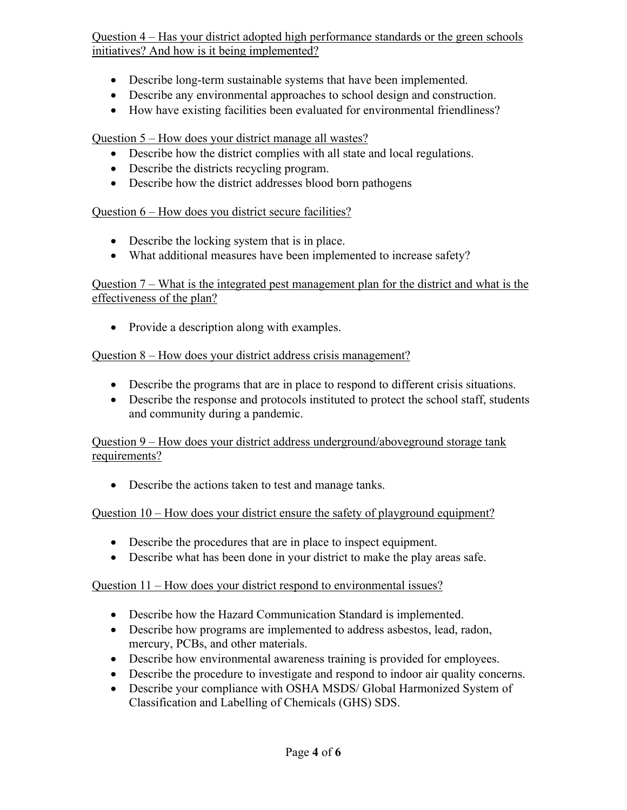Question 4 – Has your district adopted high performance standards or the green schools initiatives? And how is it being implemented?

- Describe long-term sustainable systems that have been implemented.
- Describe any environmental approaches to school design and construction.
- How have existing facilities been evaluated for environmental friendliness?

Question 5 – How does your district manage all wastes?

- Describe how the district complies with all state and local regulations.
- Describe the districts recycling program.
- Describe how the district addresses blood born pathogens

## Question 6 – How does you district secure facilities?

- Describe the locking system that is in place.
- What additional measures have been implemented to increase safety?

### Question 7 – What is the integrated pest management plan for the district and what is the effectiveness of the plan?

• Provide a description along with examples.

## Question 8 – How does your district address crisis management?

- Describe the programs that are in place to respond to different crisis situations.
- Describe the response and protocols instituted to protect the school staff, students and community during a pandemic.

## Question 9 – How does your district address underground/aboveground storage tank requirements?

• Describe the actions taken to test and manage tanks.

## Question 10 – How does your district ensure the safety of playground equipment?

- Describe the procedures that are in place to inspect equipment.
- Describe what has been done in your district to make the play areas safe.

## Question 11 – How does your district respond to environmental issues?

- Describe how the Hazard Communication Standard is implemented.
- Describe how programs are implemented to address asbestos, lead, radon, mercury, PCBs, and other materials.
- Describe how environmental awareness training is provided for employees.
- Describe the procedure to investigate and respond to indoor air quality concerns.
- Describe your compliance with OSHA MSDS/ Global Harmonized System of Classification and Labelling of Chemicals (GHS) SDS.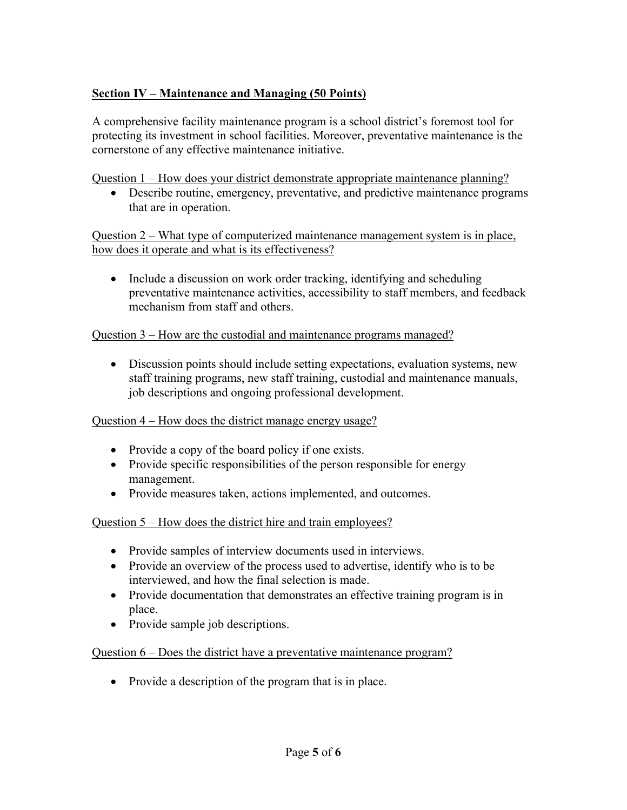### **Section IV – Maintenance and Managing (50 Points)**

A comprehensive facility maintenance program is a school district's foremost tool for protecting its investment in school facilities. Moreover, preventative maintenance is the cornerstone of any effective maintenance initiative.

Question 1 – How does your district demonstrate appropriate maintenance planning?

• Describe routine, emergency, preventative, and predictive maintenance programs that are in operation.

Question 2 – What type of computerized maintenance management system is in place, how does it operate and what is its effectiveness?

• Include a discussion on work order tracking, identifying and scheduling preventative maintenance activities, accessibility to staff members, and feedback mechanism from staff and others.

### Question 3 – How are the custodial and maintenance programs managed?

• Discussion points should include setting expectations, evaluation systems, new staff training programs, new staff training, custodial and maintenance manuals, job descriptions and ongoing professional development.

### Question 4 – How does the district manage energy usage?

- Provide a copy of the board policy if one exists.
- Provide specific responsibilities of the person responsible for energy management.
- Provide measures taken, actions implemented, and outcomes.

Question 5 – How does the district hire and train employees?

- Provide samples of interview documents used in interviews.
- Provide an overview of the process used to advertise, identify who is to be interviewed, and how the final selection is made.
- Provide documentation that demonstrates an effective training program is in place.
- Provide sample job descriptions.

### Question 6 – Does the district have a preventative maintenance program?

• Provide a description of the program that is in place.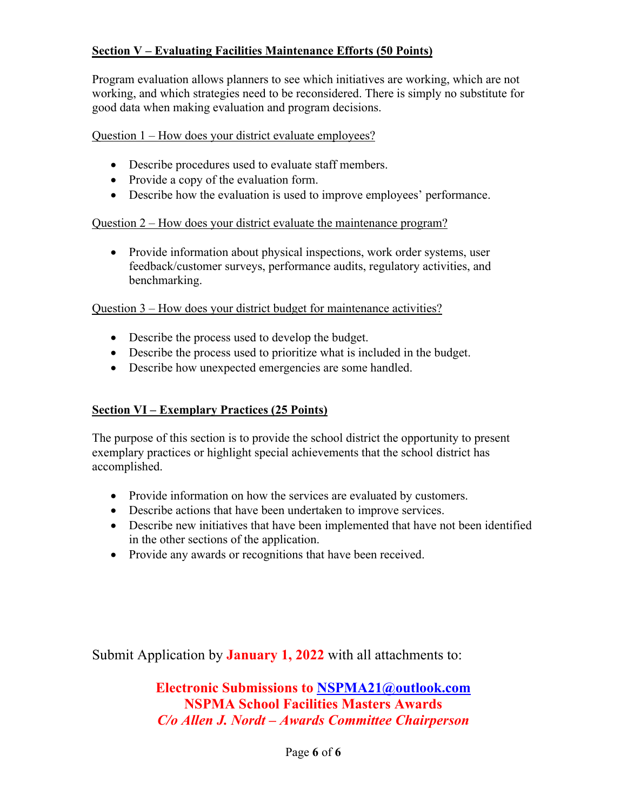### **Section V – Evaluating Facilities Maintenance Efforts (50 Points)**

Program evaluation allows planners to see which initiatives are working, which are not working, and which strategies need to be reconsidered. There is simply no substitute for good data when making evaluation and program decisions.

#### Question 1 – How does your district evaluate employees?

- Describe procedures used to evaluate staff members.
- Provide a copy of the evaluation form.
- Describe how the evaluation is used to improve employees' performance.

#### Question 2 – How does your district evaluate the maintenance program?

• Provide information about physical inspections, work order systems, user feedback/customer surveys, performance audits, regulatory activities, and benchmarking.

#### Question 3 – How does your district budget for maintenance activities?

- Describe the process used to develop the budget.
- Describe the process used to prioritize what is included in the budget.
- Describe how unexpected emergencies are some handled.

### **Section VI – Exemplary Practices (25 Points)**

The purpose of this section is to provide the school district the opportunity to present exemplary practices or highlight special achievements that the school district has accomplished.

- Provide information on how the services are evaluated by customers.
- Describe actions that have been undertaken to improve services.
- Describe new initiatives that have been implemented that have not been identified in the other sections of the application.
- Provide any awards or recognitions that have been received.

Submit Application by **January 1, 2022** with all attachments to:

**Electronic Submissions to [NSPMA21@outlook.com](mailto:NSPMA21@outlook.com) NSPMA School Facilities Masters Awards** *C/o Allen J. Nordt – Awards Committee Chairperson*